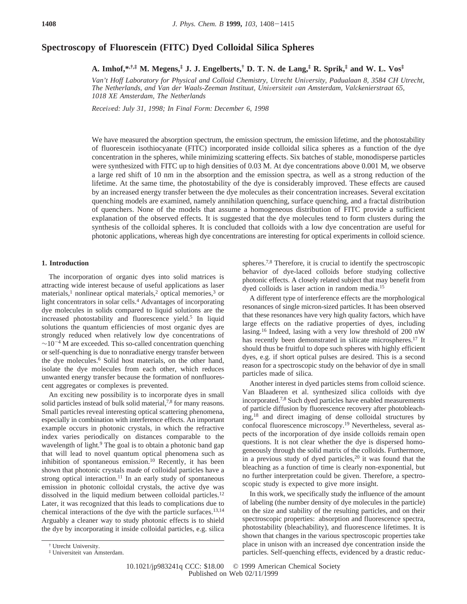# **Spectroscopy of Fluorescein (FITC) Dyed Colloidal Silica Spheres**

**A. Imhof,\*,†,‡ M. Megens,‡ J. J. Engelberts,† D. T. N. de Lang,‡ R. Sprik,‡ and W. L. Vos‡**

*Van't Hoff Laboratory for Physical and Colloid Chemistry, Utrecht University, Padualaan 8, 3584 CH Utrecht, The Netherlands, and Van der Waals-Zeeman Instituut, Uni*V*ersiteit* V*an Amsterdam, Valckenierstraat 65, 1018 XE Amsterdam, The Netherlands*

*Recei*V*ed: July 31, 1998; In Final Form: December 6, 1998*

We have measured the absorption spectrum, the emission spectrum, the emission lifetime, and the photostability of fluorescein isothiocyanate (FITC) incorporated inside colloidal silica spheres as a function of the dye concentration in the spheres, while minimizing scattering effects. Six batches of stable, monodisperse particles were synthesized with FITC up to high densities of 0.03 M. At dye concentrations above 0.001 M, we observe a large red shift of 10 nm in the absorption and the emission spectra, as well as a strong reduction of the lifetime. At the same time, the photostability of the dye is considerably improved. These effects are caused by an increased energy transfer between the dye molecules as their concentration increases. Several excitation quenching models are examined, namely annihilation quenching, surface quenching, and a fractal distribution of quenchers. None of the models that assume a homogeneous distribution of FITC provide a sufficient explanation of the observed effects. It is suggested that the dye molecules tend to form clusters during the synthesis of the colloidal spheres. It is concluded that colloids with a low dye concentration are useful for photonic applications, whereas high dye concentrations are interesting for optical experiments in colloid science.

## **1. Introduction**

The incorporation of organic dyes into solid matrices is attracting wide interest because of useful applications as laser materials,<sup>1</sup> nonlinear optical materials,<sup>2</sup> optical memories,<sup>3</sup> or light concentrators in solar cells.4 Advantages of incorporating dye molecules in solids compared to liquid solutions are the increased photostability and fluorescence yield.<sup>5</sup> In liquid solutions the quantum efficiencies of most organic dyes are strongly reduced when relatively low dye concentrations of  $\sim$ 10<sup>-4</sup> M are exceeded. This so-called concentration quenching or self-quenching is due to nonradiative energy transfer between the dye molecules.<sup>6</sup> Solid host materials, on the other hand, isolate the dye molecules from each other, which reduces unwanted energy transfer because the formation of nonfluorescent aggregates or complexes is prevented.

An exciting new possibility is to incorporate dyes in small solid particles instead of bulk solid material, $7,8$  for many reasons. Small particles reveal interesting optical scattering phenomena, especially in combination with interference effects. An important example occurs in photonic crystals, in which the refractive index varies periodically on distances comparable to the wavelength of light.<sup>9</sup> The goal is to obtain a photonic band gap that will lead to novel quantum optical phenomena such as inhibition of spontaneous emission.10 Recently, it has been shown that photonic crystals made of colloidal particles have a strong optical interaction.<sup>11</sup> In an early study of spontaneous emission in photonic colloidal crystals, the active dye was dissolved in the liquid medium between colloidal particles.<sup>12</sup> Later, it was recognized that this leads to complications due to chemical interactions of the dye with the particle surfaces.13,14 Arguably a cleaner way to study photonic effects is to shield the dye by incorporating it inside colloidal particles, e.g. silica

A different type of interference effects are the morphological resonances of single micron-sized particles. It has been observed that these resonances have very high quality factors, which have large effects on the radiative properties of dyes, including lasing.16 Indeed, lasing with a very low threshold of 200 nW has recently been demonstrated in silicate microspheres.<sup>17</sup> It should thus be fruitful to dope such spheres with highly efficient dyes, e.g. if short optical pulses are desired. This is a second reason for a spectroscopic study on the behavior of dye in small particles made of silica.

Another interest in dyed particles stems from colloid science. Van Blaaderen et al. synthesized silica colloids with dye incorporated.7,8 Such dyed particles have enabled measurements of particle diffusion by fluorescence recovery after photobleaching,18 and direct imaging of dense colloidal structures by confocal fluorescence microscopy.19 Nevertheless, several aspects of the incorporation of dye inside colloids remain open questions. It is not clear whether the dye is dispersed homogeneously through the solid matrix of the colloids. Furthermore, in a previous study of dyed particles,<sup>20</sup> it was found that the bleaching as a function of time is clearly non-exponential, but no further interpretation could be given. Therefore, a spectroscopic study is expected to give more insight.

In this work, we specifically study the influence of the amount of labeling (the number density of dye molecules in the particle) on the size and stability of the resulting particles, and on their spectroscopic properties: absorption and fluorescence spectra, photostability (bleachability), and fluorescence lifetimes. It is shown that changes in the various spectroscopic properties take place in unison with an increased dye concentration inside the particles. Self-quenching effects, evidenced by a drastic reduc-

spheres.7,8 Therefore, it is crucial to identify the spectroscopic behavior of dye-laced colloids before studying collective photonic effects. A closely related subject that may benefit from dyed colloids is laser action in random media.15

<sup>†</sup> Utrecht University.

<sup>‡</sup> Universiteit van Amsterdam.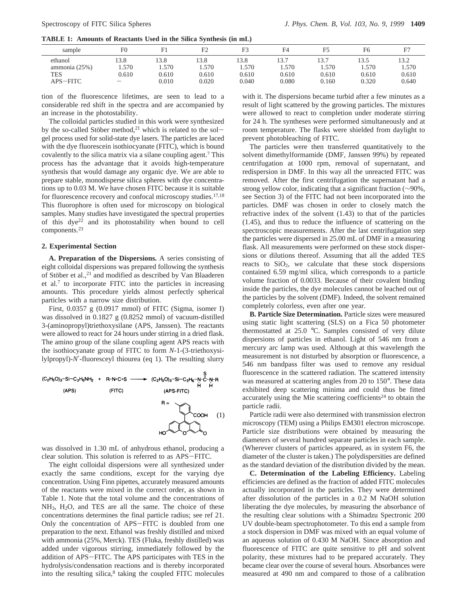**TABLE 1: Amounts of Reactants Used in the Silica Synthesis (in mL)**

| sample        | F <sub>0</sub> |       |        |       | F4     | F5    | F6    |       |
|---------------|----------------|-------|--------|-------|--------|-------|-------|-------|
| ethanol       | 13.8           | 3.8   | 13.8   | 13.8  | 13.7   | 13.7  | 13.5  | 13.2  |
| ammonia (25%) | .570           | .570  | . .570 | .570  | . .570 | 1.570 | . 570 | .570  |
| TES           | 0.610          | 0.610 | 0.610  | 0.610 | 0.610  | 0.610 | 0.610 | 0.610 |
| APS-FITC      |                | 0.010 | 0.020  | 0.040 | 0.080  | 0.160 | 0.320 | 0.640 |

tion of the fluorescence lifetimes, are seen to lead to a considerable red shift in the spectra and are accompanied by an increase in the photostability.

The colloidal particles studied in this work were synthesized by the so-called Stöber method,<sup>21</sup> which is related to the solgel process used for solid-state dye lasers. The particles are laced with the dye fluorescein isothiocyanate (FITC), which is bound covalently to the silica matrix via a silane coupling agent.7 This process has the advantage that it avoids high-temperature synthesis that would damage any organic dye. We are able to prepare stable, monodisperse silica spheres with dye concentrations up to 0.03 M. We have chosen FITC because it is suitable for fluorescence recovery and confocal microscopy studies.<sup>17,18</sup> This fluorophore is often used for microscopy on biological samples. Many studies have investigated the spectral properties of this  $dye^{22}$  and its photostability when bound to cell components.23

### **2. Experimental Section**

**A. Preparation of the Dispersions.** A series consisting of eight colloidal dispersions was prepared following the synthesis of Stöber et al.,<sup>21</sup> and modified as described by Van Blaaderen et al.7 to incorporate FITC into the particles in increasing amounts. This procedure yields almost perfectly spherical particles with a narrow size distribution.

First, 0.0357 g (0.0917 mmol) of FITC (Sigma, isomer I) was dissolved in 0.1827 g (0.8252 mmol) of vacuum-distilled 3-(aminopropyl)triethoxysilane (APS, Janssen). The reactants were allowed to react for 24 hours under stirring in a dried flask. The amino group of the silane coupling agent APS reacts with the isothiocyanate group of FITC to form *N*-1-(3-triethoxysilylpropyl)-*N*′-fluoresceyl thiourea (eq 1). The resulting slurry



was dissolved in 1.30 mL of anhydrous ethanol, producing a clear solution. This solution is referred to as APS-FITC.

The eight colloidal dispersions were all synthesized under exactly the same conditions, except for the varying dye concentration. Using Finn pipettes, accurately measured amounts of the reactants were mixed in the correct order, as shown in Table 1. Note that the total volume and the concentrations of NH3, H2O, and TES are all the same. The choice of these concentrations determines the final particle radius; see ref 21. Only the concentration of APS-FITC is doubled from one preparation to the next. Ethanol was freshly distilled and mixed with ammonia (25%, Merck). TES (Fluka, freshly distilled) was added under vigorous stirring, immediately followed by the addition of APS-FITC. The APS participates with TES in the hydrolysis/condensation reactions and is thereby incorporated into the resulting silica, $8$  taking the coupled FITC molecules

with it. The dispersions became turbid after a few minutes as a result of light scattered by the growing particles. The mixtures were allowed to react to completion under moderate stirring for 24 h. The syntheses were performed simultaneously and at room temperature. The flasks were shielded from daylight to prevent photobleaching of FITC.

The particles were then transferred quantitatively to the solvent dimethylformamide (DMF, Janssen 99%) by repeated centrifugation at 1000 rpm, removal of supernatant, and redispersion in DMF. In this way all the unreacted FITC was removed. After the first centrifugation the supernatant had a strong yellow color, indicating that a significant fraction (∼90%, see Section 3) of the FITC had not been incorporated into the particles. DMF was chosen in order to closely match the refractive index of the solvent (1.43) to that of the particles (1.45), and thus to reduce the influence of scattering on the spectroscopic measurements. After the last centrifugation step the particles were dispersed in 25.00 mL of DMF in a measuring flask. All measurements were performed on these stock dispersions or dilutions thereof. Assuming that all the added TES reacts to  $SiO<sub>2</sub>$ , we calculate that these stock dispersions contained 6.59 mg/ml silica, which corresponds to a particle volume fraction of 0.0033. Because of their covalent binding inside the particles, the dye molecules cannot be leached out of the particles by the solvent (DMF). Indeed, the solvent remained completely colorless, even after one year.

**B. Particle Size Determination.** Particle sizes were measured using static light scattering (SLS) on a Fica 50 photometer thermostatted at 25.0 °C. Samples consisted of very dilute dispersions of particles in ethanol. Light of 546 nm from a mercury arc lamp was used. Although at this wavelength the measurement is not disturbed by absorption or fluorescence, a 546 nm bandpass filter was used to remove any residual fluorescence in the scattered radiation. The scattered intensity was measured at scattering angles from 20 to 150°. These data exhibited deep scattering minima and could thus be fitted accurately using the Mie scattering coefficients<sup>24</sup> to obtain the particle radii.

Particle radii were also determined with transmission electron microscopy (TEM) using a Philips EM301 electron microscope. Particle size distributions were obtained by measuring the diameters of several hundred separate particles in each sample. (Wherever clusters of particles appeared, as in system F6, the diameter of the cluster is taken.) The polydispersities are defined as the standard deviation of the distribution divided by the mean.

**C. Determination of the Labeling Efficiency.** Labeling efficiencies are defined as the fraction of added FITC molecules actually incorporated in the particles. They were determined after dissolution of the particles in a 0.2 M NaOH solution liberating the dye molecules, by measuring the absorbance of the resulting clear solutions with a Shimadzu Spectronic 200 UV double-beam spectrophotometer. To this end a sample from a stock dispersion in DMF was mixed with an equal volume of an aqueous solution of 0.430 M NaOH. Since absorption and fluorescence of FITC are quite sensitive to pH and solvent polarity, these mixtures had to be prepared accurately. They became clear over the course of several hours. Absorbances were measured at 490 nm and compared to those of a calibration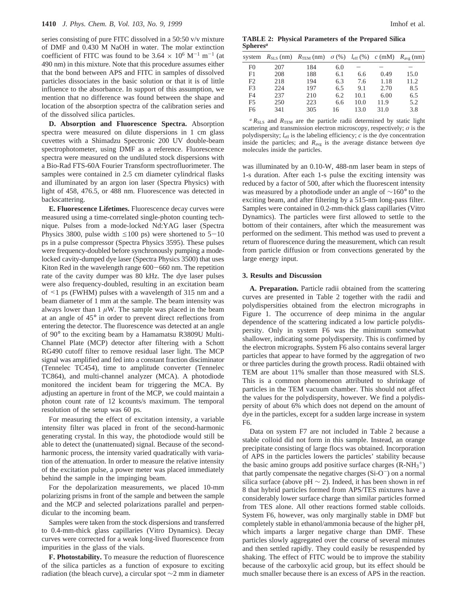series consisting of pure FITC dissolved in a 50:50 v/v mixture of DMF and 0.430 M NaOH in water. The molar extinction coefficient of FITC was found to be  $3.64 \times 10^6$  M<sup>-1</sup> m<sup>-1</sup> (at 490 nm) in this mixture. Note that this procedure assumes either that the bond between APS and FITC in samples of dissolved particles dissociates in the basic solution or that it is of little influence to the absorbance. In support of this assumption, we mention that no difference was found between the shape and location of the absorption spectra of the calibration series and of the dissolved silica particles.

**D. Absorption and Fluorescence Spectra.** Absorption spectra were measured on dilute dispersions in 1 cm glass cuvettes with a Shimadzu Spectronic 200 UV double-beam spectrophotometer, using DMF as a reference. Fluorescence spectra were measured on the undiluted stock dispersions with a Bio-Rad FTS-60A Fourier Transform spectrofluorimeter. The samples were contained in 2.5 cm diameter cylindrical flasks and illuminated by an argon ion laser (Spectra Physics) with light of 458, 476.5, or 488 nm. Fluorescence was detected in backscattering.

**E. Fluorescence Lifetimes.** Fluorescence decay curves were measured using a time-correlated single-photon counting technique. Pulses from a mode-locked Nd:YAG laser (Spectra Physics 3800, pulse width  $\leq 100$  ps) were shortened to  $5-10$ ps in a pulse compressor (Spectra Physics 3595). These pulses were frequency-doubled before synchronously pumping a modelocked cavity-dumped dye laser (Spectra Physics 3500) that uses Kiton Red in the wavelength range 600–660 nm. The repetition rate of the cavity dumper was 80 kHz. The dye laser pulses were also frequency-doubled, resulting in an excitation beam of <1 ps (FWHM) pulses with a wavelength of 315 nm and a beam diameter of 1 mm at the sample. The beam intensity was always lower than  $1 \mu W$ . The sample was placed in the beam at an angle of 45° in order to prevent direct reflections from entering the detector. The fluorescence was detected at an angle of 90° to the exciting beam by a Hamamatsu R3809U Multi-Channel Plate (MCP) detector after filtering with a Schott RG490 cutoff filter to remove residual laser light. The MCP signal was amplified and fed into a constant fraction disciminator (Tennelec TC454), time to amplitude converter (Tennelec TC864), and multi-channel analyzer (MCA). A photodiode monitored the incident beam for triggering the MCA. By adjusting an aperture in front of the MCP, we could maintain a photon count rate of 12 kcounts/s maximum. The temporal resolution of the setup was 60 ps.

For measuring the effect of excitation intensity, a variable intensity filter was placed in front of the second-harmonic generating crystal. In this way, the photodiode would still be able to detect the (unattenuated) signal. Because of the secondharmonic process, the intensity varied quadratically with variation of the attenuation. In order to measure the relative intensity of the excitation pulse, a power meter was placed immediately behind the sample in the impinging beam.

For the depolarization measurements, we placed 10-mm polarizing prisms in front of the sample and between the sample and the MCP and selected polarizations parallel and perpendicular to the incoming beam.

Samples were taken from the stock dispersions and transferred to 0.4-mm-thick glass capillaries (Vitro Dynamics). Decay curves were corrected for a weak long-lived fluorescence from impurities in the glass of the vials.

**F. Photostability.** To measure the reduction of fluorescence of the silica particles as a function of exposure to exciting radiation (the bleach curve), a circular spot  $\sim$ 2 mm in diameter

**TABLE 2: Physical Parameters of the Prepared Silica Spheres***<sup>a</sup>*

|                |     | system $R_{\text{SLS}}$ (nm) $R_{\text{TEM}}$ (nm) $\sigma$ (%) $l_{\text{eff}}$ (%) $c$ (mM) |     |      |      | $R_{\rm avg}$ (nm) |
|----------------|-----|-----------------------------------------------------------------------------------------------|-----|------|------|--------------------|
| F <sub>0</sub> | 207 | 184                                                                                           | 6.0 |      |      |                    |
| F1             | 208 | 188                                                                                           | 6.1 | 6.6  | 0.49 | 15.0               |
| F <sub>2</sub> | 218 | 194                                                                                           | 6.3 | 7.6  | 1.18 | 11.2               |
| F <sub>3</sub> | 224 | 197                                                                                           | 6.5 | 9.1  | 2.70 | 8.5                |
| F4             | 237 | 210                                                                                           | 6.2 | 10.1 | 6.00 | 6.5                |
| F5             | 250 | 223                                                                                           | 6.6 | 10.0 | 11.9 | 5.2                |
| F6             | 341 | 305                                                                                           | 16  | 13.0 | 31.0 | 3.8                |
|                |     |                                                                                               |     |      |      |                    |

 $a$   $R_{SLS}$  and  $R_{TEM}$  are the particle radii determined by static light scattering and transmission electron microscopy, respectively; *σ* is the polydispersity; *l*<sub>eff</sub> is the labeling efficiency; *c* is the dye concentration inside the particles; and  $R_{avg}$  is the average distance between dye molecules inside the particles.

was illuminated by an 0.10-W, 488-nm laser beam in steps of 1-s duration. After each 1-s pulse the exciting intensity was reduced by a factor of 500, after which the fluorescent intensity was measured by a photodiode under an angle of ∼160° to the exciting beam, and after filtering by a 515-nm long-pass filter. Samples were contained in 0.2-mm-thick glass capillaries (Vitro Dynamics). The particles were first allowed to settle to the bottom of their containers, after which the measurement was performed on the sediment. This method was used to prevent a return of fluorescence during the measurement, which can result from particle diffusion or from convections generated by the large energy input.

#### **3. Results and Discussion**

**A. Preparation.** Particle radii obtained from the scattering curves are presented in Table 2 together with the radii and polydispersities obtained from the electron micrographs in Figure 1. The occurrence of deep minima in the angular dependence of the scattering indicated a low particle polydispersity. Only in system F6 was the minimum somewhat shallower, indicating some polydispersity. This is confirmed by the electron micrographs. System F6 also contains several larger particles that appear to have formed by the aggregation of two or three particles during the growth process. Radii obtained with TEM are about 11% smaller than those measured with SLS. This is a common phenomenon attributed to shrinkage of particles in the TEM vacuum chamber. This should not affect the values for the polydispersity, however. We find a polydispersity of about 6% which does not depend on the amount of dye in the particles, except for a sudden large increase in system F6.

Data on system F7 are not included in Table 2 because a stable colloid did not form in this sample. Instead, an orange precipitate consisting of large flocs was obtained. Incorporation of APS in the particles lowers the particles' stability because the basic amino groups add positive surface charges  $(R-NH<sub>3</sub><sup>+</sup>)$ that partly compensate the negative charges  $(Si-O^-)$  on a normal silica surface (above pH  $\sim$  2). Indeed, it has been shown in ref 8 that hybrid particles formed from APS/TES mixtures have a considerably lower surface charge than similar particles formed from TES alone. All other reactions formed stable colloids. System F6, however, was only marginally stable in DMF but completely stable in ethanol/ammonia because of the higher pH, which imparts a larger negative charge than DMF. These particles slowly aggregated over the course of several minutes and then settled rapidly. They could easily be resuspended by shaking. The effect of FITC would be to improve the stability because of the carboxylic acid group, but its effect should be much smaller because there is an excess of APS in the reaction.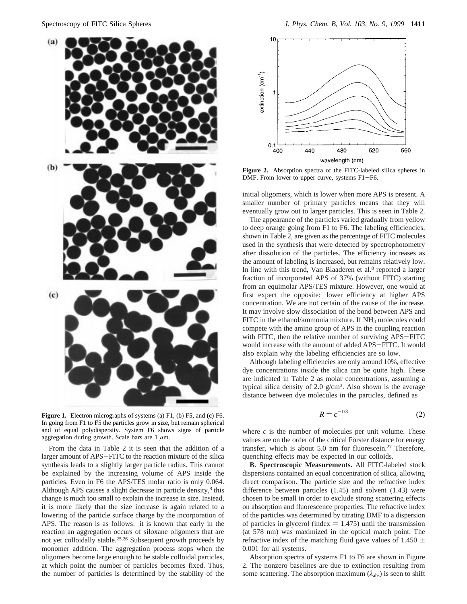

Figure 1. Electron micrographs of systems (a) F1, (b) F5, and (c) F6. In going from F1 to F5 the particles grow in size, but remain spherical and of equal polydispersity. System F6 shows signs of particle aggregation during growth. Scale bars are  $1 \mu m$ .

From the data in Table 2 it is seen that the addition of a larger amount of APS-FITC to the reaction mixture of the silica synthesis leads to a slightly larger particle radius. This cannot be explained by the increasing volume of APS inside the particles. Even in F6 the APS/TES molar ratio is only 0.064. Although APS causes a slight decrease in particle density,<sup>8</sup> this change is much too small to explain the increase in size. Instead, it is more likely that the size increase is again related to a lowering of the particle surface charge by the incorporation of APS. The reason is as follows: it is known that early in the reaction an aggregation occurs of siloxane oligomers that are not yet colloidally stable.25,26 Subsequent growth proceeds by monomer addition. The aggregation process stops when the oligomers become large enough to be stable colloidal particles, at which point the number of particles becomes fixed. Thus, the number of particles is determined by the stability of the



**Figure 2.** Absorption spectra of the FITC-labeled silica spheres in DMF. From lower to upper curve, systems F1-F6.

initial oligomers, which is lower when more APS is present. A smaller number of primary particles means that they will eventually grow out to larger particles. This is seen in Table 2.

The appearance of the particles varied gradually from yellow to deep orange going from F1 to F6. The labeling efficiencies, shown in Table 2, are given as the percentage of FITC molecules used in the synthesis that were detected by spectrophotometry after dissolution of the particles. The efficiency increases as the amount of labeling is increased, but remains relatively low. In line with this trend, Van Blaaderen et al. $8$  reported a larger fraction of incorporated APS of 37% (without FITC) starting from an equimolar APS/TES mixture. However, one would at first expect the opposite: lower efficiency at higher APS concentration. We are not certain of the cause of the increase. It may involve slow dissociation of the bond between APS and FITC in the ethanol/ammonia mixture. If NH<sub>3</sub> molecules could compete with the amino group of APS in the coupling reaction with FITC, then the relative number of surviving APS-FITC would increase with the amount of added APS-FITC. It would also explain why the labeling efficiencies are so low.

Although labeling efficiencies are only around 10%, effective dye concentrations inside the silica can be quite high. These are indicated in Table 2 as molar concentrations, assuming a typical silica density of 2.0  $g/cm<sup>3</sup>$ . Also shown is the average distance between dye molecules in the particles, defined as

$$
R = c^{-1/3} \tag{2}
$$

where  $c$  is the number of molecules per unit volume. These values are on the order of the critical Förster distance for energy transfer, which is about 5.0 nm for fluorescein.27 Therefore, quenching effects may be expected in our colloids.

**B. Spectroscopic Measurements.** All FITC-labeled stock dispersions contained an equal concentration of silica, allowing direct comparison. The particle size and the refractive index difference between particles (1.45) and solvent (1.43) were chosen to be small in order to exclude strong scattering effects on absorption and fluorescence properties. The refractive index of the particles was determined by titrating DMF to a dispersion of particles in glycerol (index  $= 1.475$ ) until the transmission (at 578 nm) was maximized in the optical match point. The refractive index of the matching fluid gave values of 1.450  $\pm$ 0.001 for all systems.

Absorption spectra of systems F1 to F6 are shown in Figure 2. The nonzero baselines are due to extinction resulting from some scattering. The absorption maximum  $(\lambda_{\text{abs}})$  is seen to shift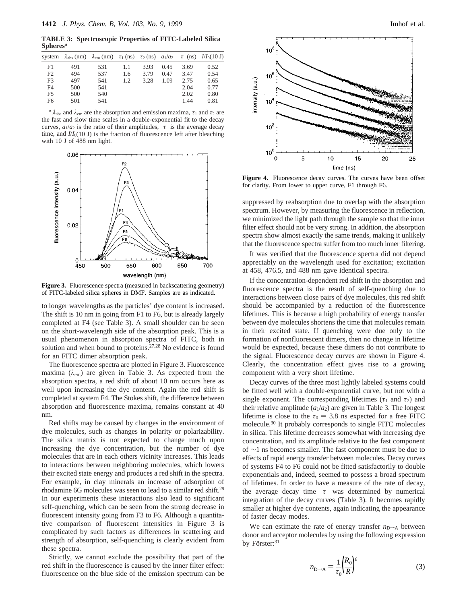**TABLE 3: Spectroscopic Properties of FITC-Labeled Silica Spheres***<sup>a</sup>*

|                | system $\lambda_{\text{abs}}$ (nm) $\lambda_{\text{em}}$ (nm) $\tau_1$ (ns) $\tau_2$ (ns) $a_1/a_2 \langle \tau \rangle$ (ns) $I/I_0(10 \text{ J})$ |     |     |      |      |      |      |
|----------------|-----------------------------------------------------------------------------------------------------------------------------------------------------|-----|-----|------|------|------|------|
| F1             | 491                                                                                                                                                 | 531 | 1.1 | 3.93 | 0.45 | 3.69 | 0.52 |
| F <sub>2</sub> | 494                                                                                                                                                 | 537 | 1.6 | 3.79 | 0.47 | 3.47 | 0.54 |
| F <sub>3</sub> | 497                                                                                                                                                 | 541 | 1.2 | 3.28 | 1.09 | 2.75 | 0.65 |
| F <sub>4</sub> | 500                                                                                                                                                 | 541 |     |      |      | 2.04 | 0.77 |
| F <sub>5</sub> | 500                                                                                                                                                 | 540 |     |      |      | 2.02 | 0.80 |
| F6             | 501                                                                                                                                                 | 541 |     |      |      | 1.44 | 0.81 |
|                |                                                                                                                                                     |     |     |      |      |      |      |

*a*  $\lambda_{\text{abs}}$  and  $\lambda_{\text{em}}$  are the absorption and emission maxima,  $\tau_1$  and  $\tau_2$  are the fast and slow time scales in a double-exponential fit to the decay curves,  $a_1/a_2$  is the ratio of their amplitudes,  $\langle \tau \rangle$  is the average decay time, and  $I/I_0(10 \text{ J})$  is the fraction of fluorescence left after bleaching with 10 J of 488 nm light.



Figure 3. Fluorescence spectra (measured in backscattering geometry) of FITC-labeled silica spheres in DMF. Samples are as indicated.

to longer wavelengths as the particles' dye content is increased. The shift is 10 nm in going from F1 to F6, but is already largely completed at F4 (see Table 3). A small shoulder can be seen on the short-wavelength side of the absorption peak. This is a usual phenomenon in absorption spectra of FITC, both in solution and when bound to proteins. $27,28$  No evidence is found for an FITC dimer absorption peak.

The fluorescence spectra are plotted in Figure 3. Fluorescence maxima (*λ*em) are given in Table 3. As expected from the absorption spectra, a red shift of about 10 nm occurs here as well upon increasing the dye content. Again the red shift is completed at system F4. The Stokes shift, the difference between absorption and fluorescence maxima, remains constant at 40 nm.

Red shifts may be caused by changes in the environment of dye molecules, such as changes in polarity or polarizability. The silica matrix is not expected to change much upon increasing the dye concentration, but the number of dye molecules that are in each others vicinity increases. This leads to interactions between neighboring molecules, which lowers their excited state energy and produces a red shift in the spectra. For example, in clay minerals an increase of adsorption of rhodamine 6G molecules was seen to lead to a similar red shift.<sup>29</sup> In our experiments these interactions also lead to significant self-quenching, which can be seen from the strong decrease in fluorescent intensity going from F3 to F6. Although a quantitative comparison of fluorescent intensities in Figure 3 is complicated by such factors as differences in scattering and strength of absorption, self-quenching is clearly evident from these spectra.

Strictly, we cannot exclude the possibility that part of the red shift in the fluorescence is caused by the inner filter effect: fluorescence on the blue side of the emission spectrum can be



**Figure 4.** Fluorescence decay curves. The curves have been offset for clarity. From lower to upper curve, F1 through F6.

suppressed by reabsorption due to overlap with the absorption spectrum. However, by measuring the fluorescence in reflection, we minimized the light path through the sample so that the inner filter effect should not be very strong. In addition, the absorption spectra show almost exactly the same trends, making it unlikely that the fluorescence spectra suffer from too much inner filtering.

It was verified that the fluorescence spectra did not depend appreciably on the wavelength used for excitation; excitation at 458, 476.5, and 488 nm gave identical spectra.

If the concentration-dependent red shift in the absorption and fluorescence spectra is the result of self-quenching due to interactions between close pairs of dye molecules, this red shift should be accompanied by a reduction of the fluorescence lifetimes. This is because a high probability of energy transfer between dye molecules shortens the time that molecules remain in their excited state. If quenching were due only to the formation of nonfluorescent dimers, then no change in lifetime would be expected, because these dimers do not contribute to the signal. Fluorescence decay curves are shown in Figure 4. Clearly, the concentration effect gives rise to a growing component with a very short lifetime.

Decay curves of the three most lightly labeled systems could be fitted well with a double-exponential curve, but not with a single exponent. The corresponding lifetimes ( $\tau_1$  and  $\tau_2$ ) and their relative amplitude  $(a_1/a_2)$  are given in Table 3. The longest lifetime is close to the  $\tau_0 = 3.8$  ns expected for a free FITC molecule.30 It probably corresponds to single FITC molecules in silica. This lifetime decreases somewhat with increasing dye concentration, and its amplitude relative to the fast component of ∼1 ns becomes smaller. The fast component must be due to effects of rapid energy transfer between molecules. Decay curves of systems F4 to F6 could not be fitted satisfactorily to double exponentials and, indeed, seemed to possess a broad spectrum of lifetimes. In order to have a measure of the rate of decay, the average decay time 〈*τ*〉 was determined by numerical integration of the decay curves (Table 3). It becomes rapidly smaller at higher dye contents, again indicating the appearance of faster decay modes.

We can estimate the rate of energy transfer  $n_{D\rightarrow A}$  between donor and acceptor molecules by using the following expression by Förster: $31$ 

$$
n_{\rm D-A} = \frac{1}{\tau_0} \left(\frac{R_0}{R}\right)^6
$$
 (3)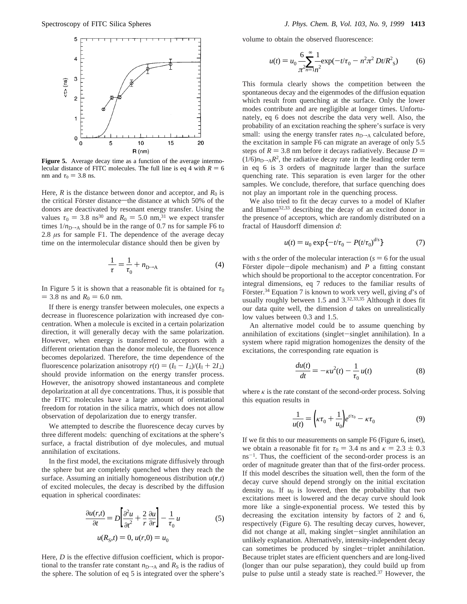

**Figure 5.** Average decay time as a function of the average intermolecular distance of FITC molecules. The full line is eq 4 with  $R = 6$ nm and  $\tau_0 = 3.8$  ns.

Here,  $R$  is the distance between donor and acceptor, and  $R_0$  is the critical Förster distance—the distance at which 50% of the donors are deactivated by resonant energy transfer. Using the values  $\tau_0 = 3.8 \text{ ns}^{30}$  and  $R_0 = 5.0 \text{ nm}^{31}$  we expect transfer times  $1/n_{D\rightarrow A}$  should be in the range of 0.7 ns for sample F6 to 2.8 *µ*s for sample F1. The dependence of the average decay time on the intermolecular distance should then be given by

$$
\frac{1}{\langle \tau \rangle} = \frac{1}{\tau_0} + n_{D \to A} \tag{4}
$$

In Figure 5 it is shown that a reasonable fit is obtained for  $\tau_0$  $=$  3.8 ns and  $R_0 = 6.0$  nm.

If there is energy transfer between molecules, one expects a decrease in fluorescence polarization with increased dye concentration. When a molecule is excited in a certain polarization direction, it will generally decay with the same polarization. However, when energy is transferred to acceptors with a different orientation than the donor molecule, the fluorescence becomes depolarized. Therefore, the time dependence of the fluorescence polarization anisotropy  $r(t) = (I_{\parallel} - I_{\perp})/(I_{\parallel} + 2I_{\perp})$ should provide information on the energy transfer process. However, the anisotropy showed instantaneous and complete depolarization at all dye concentrations. Thus, it is possible that the FITC molecules have a large amount of orientational freedom for rotation in the silica matrix, which does not allow observation of depolarization due to energy transfer.

We attempted to describe the fluorescence decay curves by three different models: quenching of excitations at the sphere's surface, a fractal distribution of dye molecules, and mutual annihilation of excitations.

In the first model, the excitations migrate diffusively through the sphere but are completely quenched when they reach the surface. Assuming an initially homogeneous distribution  $u(\mathbf{r},t)$ of excited molecules, the decay is described by the diffusion equation in spherical coordinates:

$$
\frac{\partial u(r,t)}{\partial t} = D \left[ \frac{\partial^2 u}{\partial t^2} + \frac{2}{r} \frac{\partial u}{\partial r} \right] - \frac{1}{\tau_0} u
$$
\n
$$
u(R_{\rm S},t) = 0, u(r,0) = u_0
$$
\n(5)

Here, *D* is the effective diffusion coefficient, which is proportional to the transfer rate constant  $n_{D\rightarrow A}$  and  $R_S$  is the radius of the sphere. The solution of eq 5 is integrated over the sphere's

volume to obtain the observed fluorescence:

$$
u(t) = u_0 \frac{6}{\pi^2 n} \sum_{n=1}^{\infty} \frac{1}{n^2} \exp(-t/\tau_0 - n^2 \pi^2 Dt/R^2_s)
$$
 (6)

This formula clearly shows the competition between the spontaneous decay and the eigenmodes of the diffusion equation which result from quenching at the surface. Only the lower modes contribute and are negligible at longer times. Unfortunately, eq 6 does not describe the data very well. Also, the probability of an excitation reaching the sphere's surface is very small: using the energy transfer rates  $n_{D\rightarrow A}$  calculated before, the excitation in sample F6 can migrate an average of only 5.5 steps of  $R = 3.8$  nm before it decays radiatively. Because  $D =$  $(1/6)n_{D\rightarrow A}R^2$ , the radiative decay rate in the leading order term in eq 6 is 3 orders of magnitude larger than the surface quenching rate. This separation is even larger for the other samples. We conclude, therefore, that surface quenching does not play an important role in the quenching process.

We also tried to fit the decay curves to a model of Klafter and Blumen<sup>32,33</sup> describing the decay of an excited donor in the presence of acceptors, which are randomly distributed on a fractal of Hausdorff dimension *d*:

$$
u(t) = u_0 \exp\{-t/\tau_0 - P(t/\tau_0)^{d/s}\}\tag{7}
$$

with *s* the order of the molecular interaction ( $s = 6$  for the usual Förster dipole-dipole mechanism) and *P* a fitting constant which should be proportional to the acceptor concentration. For integral dimensions, eq 7 reduces to the familiar results of Förster.<sup>34</sup> Equation 7 is known to work very well, giving d's of usually roughly between 1.5 and  $3.32,33,35$  Although it does fit our data quite well, the dimension *d* takes on unrealistically low values between 0.3 and 1.5.

An alternative model could be to assume quenching by annihilation of excitations (singlet-singlet annihilation). In a system where rapid migration homogenizes the density of the excitations, the corresponding rate equation is

$$
\frac{du(t)}{dt} = -\kappa u^2(t) - \frac{1}{\tau_0}u(t) \tag{8}
$$

where  $\kappa$  is the rate constant of the second-order process. Solving this equation results in

$$
\frac{1}{u(t)} = \left(\kappa \tau_0 + \frac{1}{u_0}\right) e^{t/\tau_0} - \kappa \tau_0 \tag{9}
$$

If we fit this to our measurements on sample F6 (Figure 6, inset), we obtain a reasonable fit for  $\tau_0 = 3.4$  ns and  $\kappa = 2.3 \pm 0.3$  $ns^{-1}$ . Thus, the coefficient of the second-order process is an order of magnitude greater than that of the first-order process. If this model describes the situation well, then the form of the decay curve should depend strongly on the initial excitation density  $u_0$ . If  $u_0$  is lowered, then the probability that two excitations meet is lowered and the decay curve should look more like a single-exponential process. We tested this by decreasing the excitation intensity by factors of 2 and 6, respectively (Figure 6). The resulting decay curves, however, did not change at all, making singlet-singlet annihilation an unlikely explanation. Alternatively, intensity-independent decay can sometimes be produced by singlet-triplet annihilation. Because triplet states are efficient quenchers and are long-lived (longer than our pulse separation), they could build up from pulse to pulse until a steady state is reached.37 However, the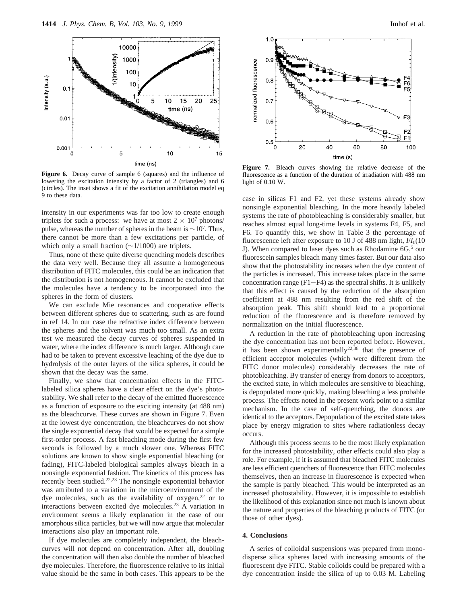

**Figure 6.** Decay curve of sample 6 (squares) and the influence of lowering the excitation intensity by a factor of 2 (triangles) and 6 (circles). The inset shows a fit of the excitation annihilation model eq 9 to these data.

intensity in our experiments was far too low to create enough triplets for such a process: we have at most  $2 \times 10^7$  photons/ pulse, whereas the number of spheres in the beam is  $\sim$ 10<sup>7</sup>. Thus, there cannot be more than a few excitations per particle, of which only a small fraction (∼1/1000) are triplets.

Thus, none of these quite diverse quenching models describes the data very well. Because they all assume a homogeneous distribution of FITC molecules, this could be an indication that the distribution is not homogeneous. It cannot be excluded that the molecules have a tendency to be incorporated into the spheres in the form of clusters.

We can exclude Mie resonances and cooperative effects between different spheres due to scattering, such as are found in ref 14. In our case the refractive index difference between the spheres and the solvent was much too small. As an extra test we measured the decay curves of spheres suspended in water, where the index difference is much larger. Although care had to be taken to prevent excessive leaching of the dye due to hydrolysis of the outer layers of the silica spheres, it could be shown that the decay was the same.

Finally, we show that concentration effects in the FITClabeled silica spheres have a clear effect on the dye's photostability. We shall refer to the decay of the emitted fluorescence as a function of exposure to the exciting intensity (at 488 nm) as the bleachcurve. These curves are shown in Figure 7. Even at the lowest dye concentration, the bleachcurves do not show the single exponential decay that would be expected for a simple first-order process. A fast bleaching mode during the first few seconds is followed by a much slower one. Whereas FITC solutions are known to show single exponential bleaching (or fading), FITC-labeled biological samples always bleach in a nonsingle exponential fashion. The kinetics of this process has recently been studied.<sup>22,23</sup> The nonsingle exponential behavior was attributed to a variation in the microenvironment of the dye molecules, such as the availability of  $oxygen<sub>1</sub><sup>22</sup>$  or to interactions between excited dye molecules.23 A variation in environment seems a likely explanation in the case of our amorphous silica particles, but we will now argue that molecular interactions also play an important role.

If dye molecules are completely independent, the bleachcurves will not depend on concentration. After all, doubling the concentration will then also double the number of bleached dye molecules. Therefore, the fluorescence relative to its initial value should be the same in both cases. This appears to be the



**Figure 7.** Bleach curves showing the relative decrease of the fluorescence as a function of the duration of irradiation with 488 nm light of 0.10 W.

case in silicas F1 and F2, yet these systems already show nonsingle exponential bleaching. In the more heavily labeled systems the rate of photobleaching is considerably smaller, but reaches almost equal long-time levels in systems F4, F5, and F6. To quantify this, we show in Table 3 the percentage of fluorescence left after exposure to 10 J of 488 nm light, *I*/*I*0(10 J). When compared to laser dyes such as Rhodamine 6G,<sup>5</sup> our fluorescein samples bleach many times faster. But our data also show that the photostability increases when the dye content of the particles is increased. This increase takes place in the same concentration range  $(F1-F4)$  as the spectral shifts. It is unlikely that this effect is caused by the reduction of the absorption coefficient at 488 nm resulting from the red shift of the absorption peak. This shift should lead to a proportional reduction of the fluorescence and is therefore removed by normalization on the initial fluorescence.

A reduction in the rate of photobleaching upon increasing the dye concentration has not been reported before. However, it has been shown experimentally<sup>22,38</sup> that the presence of efficient acceptor molecules (which were different from the FITC donor molecules) considerably decreases the rate of photobleaching. By transfer of energy from donors to acceptors, the excited state, in which molecules are sensitive to bleaching, is depopulated more quickly, making bleaching a less probable process. The effects noted in the present work point to a similar mechanism. In the case of self-quenching, the donors are identical to the acceptors. Depopulation of the excited state takes place by energy migration to sites where radiationless decay occurs.

Although this process seems to be the most likely explanation for the increased photostability, other effects could also play a role. For example, if it is assumed that bleached FITC molecules are less efficient quenchers of fluorescence than FITC molecules themselves, then an increase in fluorescence is expected when the sample is partly bleached. This would be interpreted as an increased photostability. However, it is impossible to establish the likelihood of this explanation since not much is known about the nature and properties of the bleaching products of FITC (or those of other dyes).

#### **4. Conclusions**

A series of colloidal suspensions was prepared from monodisperse silica spheres laced with increasing amounts of the fluorescent dye FITC. Stable colloids could be prepared with a dye concentration inside the silica of up to 0.03 M. Labeling